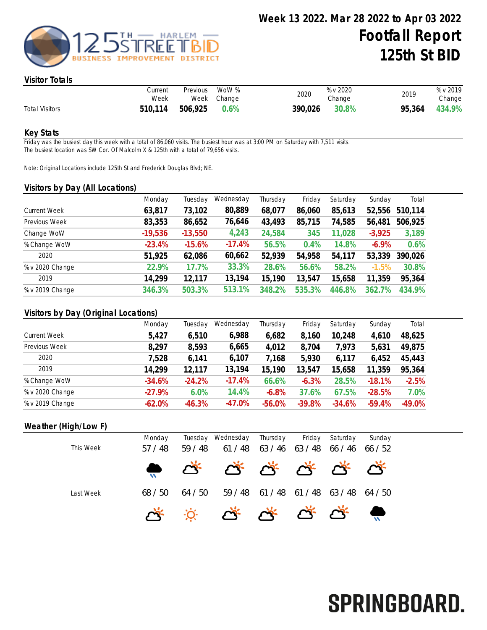

# Visitor Totals

|                       | Current<br>Week | Previous | WoW %<br>Week Change | 2020    | % v 2020<br>Change | 2019   | % v 2019<br>Change |
|-----------------------|-----------------|----------|----------------------|---------|--------------------|--------|--------------------|
| <b>Total Visitors</b> | 510,114         | 506,925  | 0.6%                 | 390,026 | 30.8%              | 95,364 | 434.9%             |

### Key Stats

Friday was the busiest day this week with a total of 86,060 visits. The busiest hour was at 3:00 PM on Saturday with 7,511 visits. The busiest location was SW Cor. Of Malcolm X & 125th with a total of 79,656 visits.

Note: Original Locations include 125th St and Frederick Douglas Blvd; NE.

### Visitors by Day (All Locations)

| $\sim$ $\sim$       | Monday    | Tuesday   | Wednesday | Thursday | Friday | Saturday | Sunday   | Total   |
|---------------------|-----------|-----------|-----------|----------|--------|----------|----------|---------|
| <b>Current Week</b> | 63,817    | 73,102    | 80,889    | 68,077   | 86,060 | 85,613   | 52,556   | 510,114 |
| Previous Week       | 83,353    | 86,652    | 76,646    | 43,493   | 85,715 | 74,585   | 56,481   | 506,925 |
| Change WoW          | $-19,536$ | $-13,550$ | 4,243     | 24,584   | 345    | 11,028   | $-3,925$ | 3,189   |
| % Change WoW        | $-23.4%$  | $-15.6%$  | $-17.4%$  | 56.5%    | 0.4%   | 14.8%    | $-6.9\%$ | 0.6%    |
| 2020                | 51,925    | 62,086    | 60,662    | 52,939   | 54,958 | 54,117   | 53,339   | 390,026 |
| % v 2020 Change     | 22.9%     | 17.7%     | 33.3%     | 28.6%    | 56.6%  | 58.2%    | $-1.5%$  | 30.8%   |
| 2019                | 14,299    | 12,117    | 13,194    | 15,190   | 13,547 | 15,658   | 11,359   | 95,364  |
| % v 2019 Change     | 346.3%    | 503.3%    | 513.1%    | 348.2%   | 535.3% | 446.8%   | 362.7%   | 434.9%  |

## Visitors by Day (Original Locations)

|                     | Monday   | Tuesday  | Wednesday | Thursday | Friday   | Saturday | Sunday   | Total    |
|---------------------|----------|----------|-----------|----------|----------|----------|----------|----------|
| <b>Current Week</b> | 5,427    | 6,510    | 6,988     | 6,682    | 8,160    | 10,248   | 4,610    | 48,625   |
| Previous Week       | 8,297    | 8,593    | 6,665     | 4,012    | 8,704    | 7,973    | 5,631    | 49,875   |
| 2020                | 7,528    | 6,141    | 6,107     | 7,168    | 5,930    | 6,117    | 6,452    | 45,443   |
| 2019                | 14,299   | 12,117   | 13,194    | 15,190   | 13,547   | 15,658   | 11,359   | 95,364   |
| % Change WoW        | $-34.6%$ | $-24.2%$ | $-17.4%$  | 66.6%    | $-6.3%$  | 28.5%    | $-18.1%$ | $-2.5%$  |
| % v 2020 Change     | $-27.9%$ | 6.0%     | 14.4%     | $-6.8%$  | 37.6%    | 67.5%    | $-28.5%$ | 7.0%     |
| % v 2019 Change     | $-62.0%$ | $-46.3%$ | $-47.0%$  | $-56.0%$ | $-39.8%$ | $-34.6%$ | $-59.4%$ | $-49.0%$ |
|                     |          |          |           |          |          |          |          |          |

## Weather (High/Low F)

|           | Monday |           | Tuesday Wednesday                                                                          | Thursday | Friday | Saturday | Sunday  |  |
|-----------|--------|-----------|--------------------------------------------------------------------------------------------|----------|--------|----------|---------|--|
| This Week | 57/48  | 48<br>59/ | 61/48                                                                                      | 63 / 46  | 63/48  | 66 / 46  | 66 / 52 |  |
|           |        |           |                                                                                            |          |        |          |         |  |
| Last Week | 68/50  | 64 / 50   | 59/48                                                                                      | 61/48    | 61/48  | 63/48    | 64/50   |  |
|           |        |           | $\mathbb{R}$ $\mathbb{R}$ $\mathbb{R}$ $\mathbb{R}$ $\mathbb{R}$ $\mathbb{R}$ $\mathbb{R}$ |          |        |          |         |  |

# SPRINGBOARD.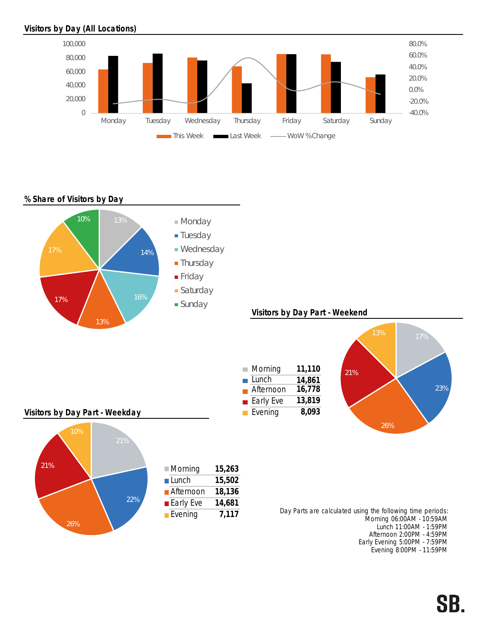# Visitors by Day (All Locations)



## % Share of Visitors by Day



Evening 8:00PM - 11:59PM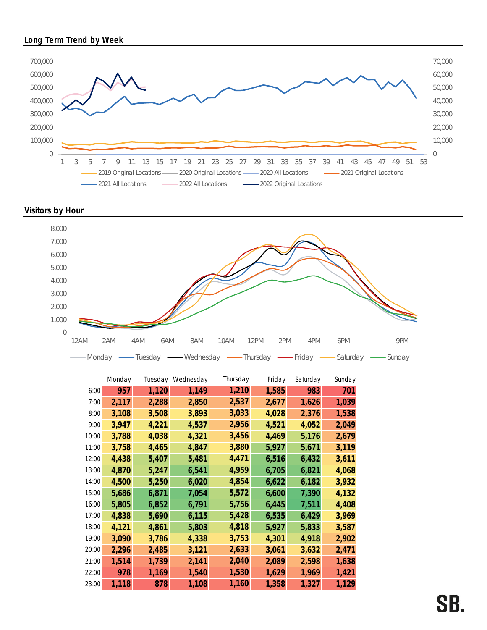## Long Term Trend by Week







|       | Monday | Tuesday | Wednesday | Thursday | Friday | Saturday | Sunday |
|-------|--------|---------|-----------|----------|--------|----------|--------|
| 6:00  | 957    | 1,120   | 1,149     | 1,210    | 1,585  | 983      | 701    |
| 7:00  | 2,117  | 2,288   | 2,850     | 2,537    | 2,677  | 1,626    | 1,039  |
| 8:00  | 3,108  | 3,508   | 3,893     | 3,033    | 4,028  | 2,376    | 1,538  |
| 9:00  | 3,947  | 4,221   | 4,537     | 2,956    | 4,521  | 4,052    | 2,049  |
| 10:00 | 3,788  | 4,038   | 4,321     | 3,456    | 4,469  | 5,176    | 2,679  |
| 11:00 | 3,758  | 4,465   | 4,847     | 3,880    | 5,927  | 5,671    | 3,119  |
| 12:00 | 4,438  | 5,407   | 5,481     | 4,471    | 6,516  | 6,432    | 3,611  |
| 13:00 | 4,870  | 5,247   | 6,541     | 4,959    | 6,705  | 6,821    | 4,068  |
| 14:00 | 4,500  | 5,250   | 6,020     | 4,854    | 6,622  | 6,182    | 3,932  |
| 15:00 | 5,686  | 6,871   | 7,054     | 5,572    | 6,600  | 7,390    | 4,132  |
| 16:00 | 5,805  | 6,852   | 6,791     | 5,756    | 6,445  | 7,511    | 4,408  |
| 17:00 | 4,838  | 5,690   | 6,115     | 5,428    | 6,535  | 6,429    | 3,969  |
| 18:00 | 4,121  | 4,861   | 5,803     | 4,818    | 5,927  | 5,833    | 3,587  |
| 19:00 | 3,090  | 3,786   | 4,338     | 3,753    | 4,301  | 4,918    | 2,902  |
| 20:00 | 2,296  | 2,485   | 3,121     | 2,633    | 3,061  | 3,632    | 2,471  |
| 21:00 | 1,514  | 1,739   | 2,141     | 2,040    | 2,089  | 2,598    | 1,638  |
| 22:00 | 978    | 1,169   | 1,540     | 1,530    | 1,629  | 1,969    | 1,421  |
| 23:00 | 1,118  | 878     | 1,108     | 1,160    | 1,358  | 1,327    | 1,129  |